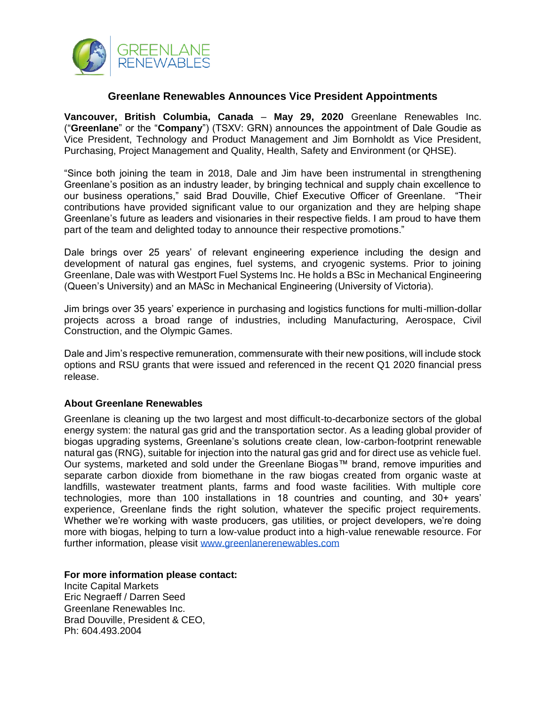

## **Greenlane Renewables Announces Vice President Appointments**

**Vancouver, British Columbia, Canada** – **May 29, 2020** Greenlane Renewables Inc. ("**Greenlane**" or the "**Company**") (TSXV: GRN) announces the appointment of Dale Goudie as Vice President, Technology and Product Management and Jim Bornholdt as Vice President, Purchasing, Project Management and Quality, Health, Safety and Environment (or QHSE).

"Since both joining the team in 2018, Dale and Jim have been instrumental in strengthening Greenlane's position as an industry leader, by bringing technical and supply chain excellence to our business operations," said Brad Douville, Chief Executive Officer of Greenlane. "Their contributions have provided significant value to our organization and they are helping shape Greenlane's future as leaders and visionaries in their respective fields. I am proud to have them part of the team and delighted today to announce their respective promotions."

Dale brings over 25 years' of relevant engineering experience including the design and development of natural gas engines, fuel systems, and cryogenic systems. Prior to joining Greenlane, Dale was with Westport Fuel Systems Inc. He holds a BSc in Mechanical Engineering (Queen's University) and an MASc in Mechanical Engineering (University of Victoria).

Jim brings over 35 years' experience in purchasing and logistics functions for multi-million-dollar projects across a broad range of industries, including Manufacturing, Aerospace, Civil Construction, and the Olympic Games.

Dale and Jim's respective remuneration, commensurate with their new positions, will include stock options and RSU grants that were issued and referenced in the recent Q1 2020 financial press release.

## **About Greenlane Renewables**

Greenlane is cleaning up the two largest and most difficult-to-decarbonize sectors of the global energy system: the natural gas grid and the transportation sector. As a leading global provider of biogas upgrading systems, Greenlane's solutions create clean, low-carbon-footprint renewable natural gas (RNG), suitable for injection into the natural gas grid and for direct use as vehicle fuel. Our systems, marketed and sold under the Greenlane Biogas™ brand, remove impurities and separate carbon dioxide from biomethane in the raw biogas created from organic waste at landfills, wastewater treatment plants, farms and food waste facilities. With multiple core technologies, more than 100 installations in 18 countries and counting, and 30+ years' experience, Greenlane finds the right solution, whatever the specific project requirements. Whether we're working with waste producers, gas utilities, or project developers, we're doing more with biogas, helping to turn a low-value product into a high-value renewable resource. For further information, please visit [www.greenlanerenewables.com](http://www.greenlanerenewables.com/)

**For more information please contact:**

Incite Capital Markets Eric Negraeff / Darren Seed Greenlane Renewables Inc. Brad Douville, President & CEO, Ph: 604.493.2004